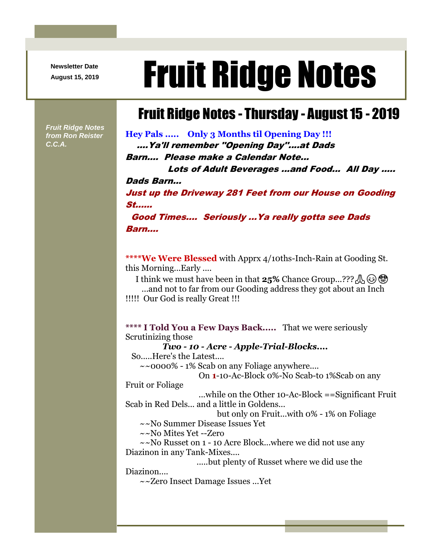**Newsletter Date**

# August 15, 2019 **Fruit Ridge Notes**

## Fruit Ridge Notes - Thursday - August 15 - 2019

*Fruit Ridge Notes from Ron Reister C.C.A.*

**Hey Pals ..... Only 3 Months til Opening Day !!!** ....Ya'll remember ''Opening Day''....at Dads Barn.... Please make a Calendar Note...

Lots of Adult Beverages ...and Food... All Day ..... Dads Barn... Just up the Driveway 281 Feet from our House on Gooding St...... Good Times.... Seriously ...Ya really gotta see Dads

Barn....

**\*\*\*\*We Were Blessed** with Apprx 4/10ths-Inch-Rain at Gooding St. this Morning...Early ....

I think we must have been in that **25%** Chance Group...??? A ...and not to far from our Gooding address they got about an Inch

!!!!! Our God is really Great !!!

**\*\*\*\* I Told You a Few Days Back.....** That we were seriously Scrutinizing those

*Two - 10 - Acre - Apple-Trial-Blocks....*

So.....Here's the Latest....

 $\sim$  0000% - 1% Scab on any Foliage anywhere...

On **1**-10-Ac-Block 0%-No Scab-to 1%Scab on any

Fruit or Foliage

...while on the Other 10-Ac-Block ==Significant Fruit Scab in Red Dels... and a little in Goldens...

but only on Fruit...with 0% - 1% on Foliage

~~No Summer Disease Issues Yet

~~No Mites Yet --Zero

~~No Russet on 1 - 10 Acre Block...where we did not use any Diazinon in any Tank-Mixes....

.....but plenty of Russet where we did use the

Diazinon....

~~Zero Insect Damage Issues ...Yet